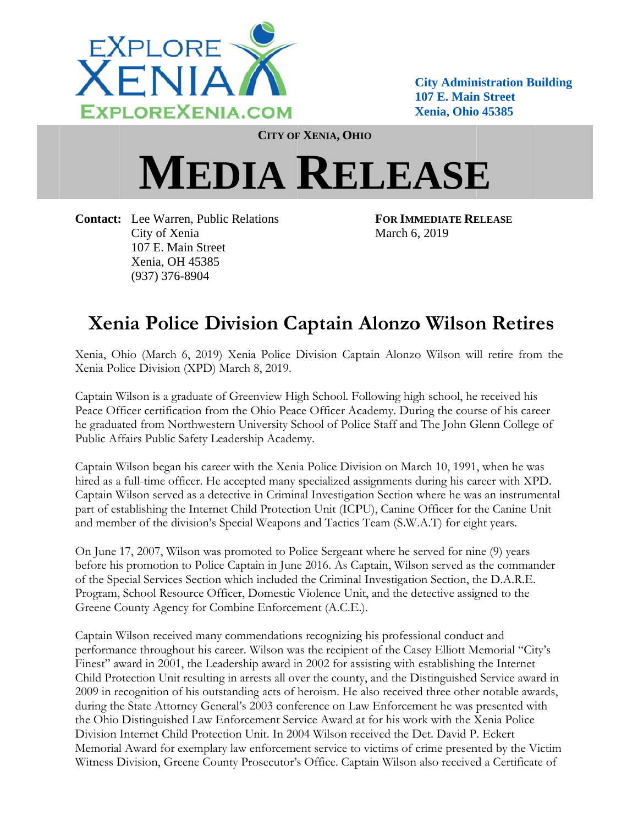

**City Administration Building** 107 E. Main Street Xenia, Ohio 45385

CITY OF XENIA, OHIO

## **MEDIA RELEASE**

**Contact:** Lee Warren, Public Relations City of Xenia 107 E. Main Street Xenia, OH 45385  $(937)$  376-8904

**FOR IMMEDIATE RELEASE** March 6, 2019

## **Xenia Police Division Captain Alonzo Wilson Retires**

Xenia, Ohio (March 6, 2019) Xenia Police Division Captain Alonzo Wilson will retire from the Xenia Police Division (XPD) March 8, 2019.

Captain Wilson is a graduate of Greenview High School. Following high school, he received his Peace Officer certification from the Ohio Peace Officer Academy. During the course of his career he graduated from Northwestern University School of Police Staff and The John Glenn College of Public Affairs Public Safety Leadership Academy.

Captain Wilson began his career with the Xenia Police Division on March 10, 1991, when he was hired as a full-time officer. He accepted many specialized assignments during his career with XPD. Captain Wilson served as a detective in Criminal Investigation Section where he was an instrumental part of establishing the Internet Child Protection Unit (ICPU), Canine Officer for the Canine Unit and member of the division's Special Weapons and Tactics Team (S.W.A.T) for eight years.

On June 17, 2007, Wilson was promoted to Police Sergeant where he served for nine (9) years before his promotion to Police Captain in June 2016. As Captain, Wilson served as the commander of the Special Services Section which included the Criminal Investigation Section, the D.A.R.E. Program, School Resource Officer, Domestic Violence Unit, and the detective assigned to the Greene County Agency for Combine Enforcement (A.C.E.).

Captain Wilson received many commendations recognizing his professional conduct and performance throughout his career. Wilson was the recipient of the Casey Elliott Memorial "City's Finest" award in 2001, the Leadership award in 2002 for assisting with establishing the Internet Child Protection Unit resulting in arrests all over the county, and the Distinguished Service award in 2009 in recognition of his outstanding acts of heroism. He also received three other notable awards, during the State Attorney General's 2003 conference on Law Enforcement he was presented with the Ohio Distinguished Law Enforcement Service Award at for his work with the Xenia Police Division Internet Child Protection Unit. In 2004 Wilson received the Det. David P. Eckert Memorial Award for exemplary law enforcement service to victims of crime presented by the Victim Witness Division, Greene County Prosecutor's Office. Captain Wilson also received a Certificate of